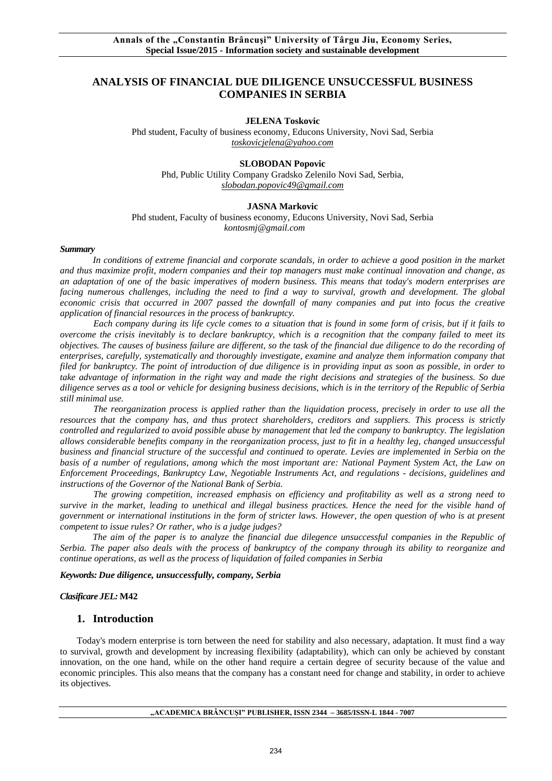# **ANALYSIS OF FINANCIAL DUE DILIGENCE UNSUCCESSFUL BUSINESS COMPANIES IN SERBIA**

**JELENA Toskovic** 

Phd student, Faculty of business economy, Educons University, Novi Sad, Serbia *[toskovicjelena@yahoo.com](mailto:toskovicjelena@yahoo.com)*

#### **SLOBODAN Popovic**

Phd, Public Utility Company Gradsko Zelenilo Novi Sad, Serbia, *[slobodan.popovic49@gmail.com](mailto:slobodan.popovic49@gmail.com)*

#### **JASNA Markovic**

Phd student, Faculty of business economy, Educons University, Novi Sad, Serbia *kontosmj@gmail.com*

#### *Summary*

*In conditions of extreme financial and corporate scandals, in order to achieve a good position in the market and thus maximize profit, modern companies and their top managers must make continual innovation and change, as an adaptation of one of the basic imperatives of modern business. This means that today's modern enterprises are*  facing numerous challenges, including the need to find a way to survival, growth and development. The global *economic crisis that occurred in 2007 passed the downfall of many companies and put into focus the creative application of financial resources in the process of bankruptcy.*

*Each company during its life cycle comes to a situation that is found in some form of crisis, but if it fails to overcome the crisis inevitably is to declare bankruptcy, which is a recognition that the company failed to meet its objectives. The causes of business failure are different, so the task of the financial due diligence to do the recording of enterprises, carefully, systematically and thoroughly investigate, examine and analyze them information company that filed for bankruptcy. The point of introduction of due diligence is in providing input as soon as possible, in order to take advantage of information in the right way and made the right decisions and strategies of the business. So due diligence serves as a tool or vehicle for designing business decisions, which is in the territory of the Republic of Serbia still minimal use.*

*The reorganization process is applied rather than the liquidation process, precisely in order to use all the resources that the company has, and thus protect shareholders, creditors and suppliers. This process is strictly controlled and regularized to avoid possible abuse by management that led the company to bankruptcy. The legislation allows considerable benefits company in the reorganization process, just to fit in a healthy leg, changed unsuccessful business and financial structure of the successful and continued to operate. Levies are implemented in Serbia on the basis of a number of regulations, among which the most important are: National Payment System Act, the Law on Enforcement Proceedings, Bankruptcy Law, Negotiable Instruments Act, and regulations - decisions, guidelines and instructions of the Governor of the National Bank of Serbia.*

*The growing competition, increased emphasis on efficiency and profitability as well as a strong need to survive in the market, leading to unethical and illegal business practices. Hence the need for the visible hand of government or international institutions in the form of stricter laws. However, the open question of who is at present competent to issue rules? Or rather, who is a judge judges?*

*The aim of the paper is to analyze the financial due dilegence unsuccessful companies in the Republic of Serbia. The paper also deals with the process of bankruptcy of the company through its ability to reorganize and continue operations, as well as the process of liquidation of failed companies in Serbia*

*Keywords: Due diligence, unsuccessfully, company, Serbia*

#### *Clasificare JEL:* **M42**

#### **1. Introduction**

Today's modern enterprise is torn between the need for stability and also necessary, adaptation. It must find a way to survival, growth and development by increasing flexibility (adaptability), which can only be achieved by constant innovation, on the one hand, while on the other hand require a certain degree of security because of the value and economic principles. This also means that the company has a constant need for change and stability, in order to achieve its objectives.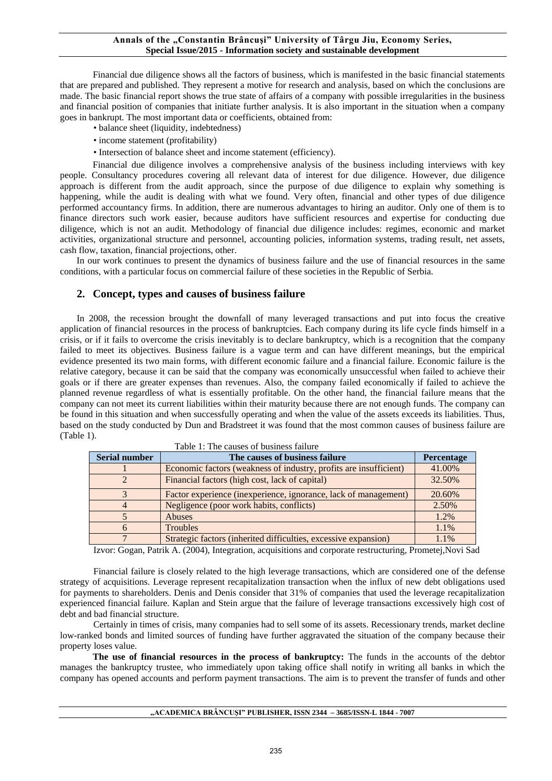Financial due diligence shows all the factors of business, which is manifested in the basic financial statements that are prepared and published. They represent a motive for research and analysis, based on which the conclusions are made. The basic financial report shows the true state of affairs of a company with possible irregularities in the business and financial position of companies that initiate further analysis. It is also important in the situation when a company goes in bankrupt. The most important data or coefficients, obtained from:

- balance sheet (liquidity, indebtedness)
- income statement (profitability)
- Intersection of balance sheet and income statement (efficiency).

Financial due diligence involves a comprehensive analysis of the business including interviews with key people. Consultancy procedures covering all relevant data of interest for due diligence. However, due diligence approach is different from the audit approach, since the purpose of due diligence to explain why something is happening, while the audit is dealing with what we found. Very often, financial and other types of due diligence performed accountancy firms. In addition, there are numerous advantages to hiring an auditor. Only one of them is to finance directors such work easier, because auditors have sufficient resources and expertise for conducting due diligence, which is not an audit. Methodology of financial due diligence includes: regimes, economic and market activities, organizational structure and personnel, accounting policies, information systems, trading result, net assets, cash flow, taxation, financial projections, other.

In our work continues to present the dynamics of business failure and the use of financial resources in the same conditions, with a particular focus on commercial failure of these societies in the Republic of Serbia.

### **2. Concept, types and causes of business failure**

In 2008, the recession brought the downfall of many leveraged transactions and put into focus the creative application of financial resources in the process of bankruptcies. Each company during its life cycle finds himself in a crisis, or if it fails to overcome the crisis inevitably is to declare bankruptcy, which is a recognition that the company failed to meet its objectives. Business failure is a vague term and can have different meanings, but the empirical evidence presented its two main forms, with different economic failure and a financial failure. Economic failure is the relative category, because it can be said that the company was economically unsuccessful when failed to achieve their goals or if there are greater expenses than revenues. Also, the company failed economically if failed to achieve the planned revenue regardless of what is essentially profitable. On the other hand, the financial failure means that the company can not meet its current liabilities within their maturity because there are not enough funds. The company can be found in this situation and when successfully operating and when the value of the assets exceeds its liabilities. Thus, based on the study conducted by Dun and Bradstreet it was found that the most common causes of business failure are (Table 1).

| <b>Serial number</b> | The causes of business failure                                    | <b>Percentage</b> |
|----------------------|-------------------------------------------------------------------|-------------------|
|                      | Economic factors (weakness of industry, profits are insufficient) | 41.00%            |
|                      | Financial factors (high cost, lack of capital)                    | 32.50%            |
|                      | Factor experience (inexperience, ignorance, lack of management)   | 20.60%            |
|                      | Negligence (poor work habits, conflicts)                          | 2.50%             |
|                      | <b>Abuses</b>                                                     | 1.2%              |
|                      | Troubles                                                          | 1.1%              |
|                      | Strategic factors (inherited difficulties, excessive expansion)   | 1.1%              |

Table 1: The causes of business failure

Izvor: Gogan, Patrik A. (2004), Integration, acquisitions and corporate restructuring, Prometej,Novi Sad

Financial failure is closely related to the high leverage transactions, which are considered one of the defense strategy of acquisitions. Leverage represent recapitalization transaction when the influx of new debt obligations used for payments to shareholders. Denis and Denis consider that 31% of companies that used the leverage recapitalization experienced financial failure. Kaplan and Stein argue that the failure of leverage transactions excessively high cost of debt and bad financial structure.

Certainly in times of crisis, many companies had to sell some of its assets. Recessionary trends, market decline low-ranked bonds and limited sources of funding have further aggravated the situation of the company because their property loses value.

**The use of financial resources in the process of bankruptcy:** The funds in the accounts of the debtor manages the bankruptcy trustee, who immediately upon taking office shall notify in writing all banks in which the company has opened accounts and perform payment transactions. The aim is to prevent the transfer of funds and other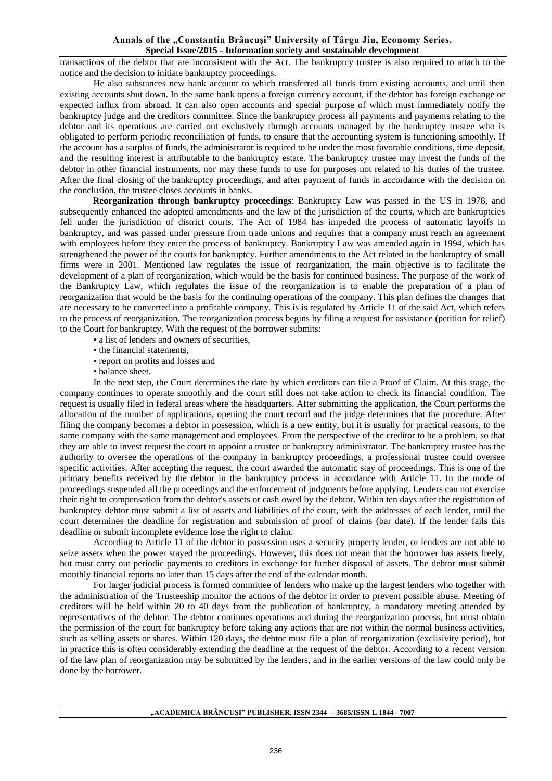transactions of the debtor that are inconsistent with the Act. The bankruptcy trustee is also required to attach to the notice and the decision to initiate bankruptcy proceedings.

He also substances new bank account to which transferred all funds from existing accounts, and until then existing accounts shut down. In the same bank opens a foreign currency account, if the debtor has foreign exchange or expected influx from abroad. It can also open accounts and special purpose of which must immediately notify the bankruptcy judge and the creditors committee. Since the bankruptcy process all payments and payments relating to the debtor and its operations are carried out exclusively through accounts managed by the bankruptcy trustee who is obligated to perform periodic reconciliation of funds, to ensure that the accounting system is functioning smoothly. If the account has a surplus of funds, the administrator is required to be under the most favorable conditions, time deposit, and the resulting interest is attributable to the bankruptcy estate. The bankruptcy trustee may invest the funds of the debtor in other financial instruments, nor may these funds to use for purposes not related to his duties of the trustee. After the final closing of the bankruptcy proceedings, and after payment of funds in accordance with the decision on the conclusion, the trustee closes accounts in banks.

**Reorganization through bankruptcy proceedings**: Bankruptcy Law was passed in the US in 1978, and subsequently enhanced the adopted amendments and the law of the jurisdiction of the courts, which are bankruptcies fell under the jurisdiction of district courts. The Act of 1984 has impeded the process of automatic layoffs in bankruptcy, and was passed under pressure from trade unions and requires that a company must reach an agreement with employees before they enter the process of bankruptcy. Bankruptcy Law was amended again in 1994, which has strengthened the power of the courts for bankruptcy. Further amendments to the Act related to the bankruptcy of small firms were in 2001. Mentioned law regulates the issue of reorganization, the main objective is to facilitate the development of a plan of reorganization, which would be the basis for continued business. The purpose of the work of the Bankruptcy Law, which regulates the issue of the reorganization is to enable the preparation of a plan of reorganization that would be the basis for the continuing operations of the company. This plan defines the changes that are necessary to be converted into a profitable company. This is is regulated by Article 11 of the said Act, which refers to the process of reorganization. The reorganization process begins by filing a request for assistance (petition for relief) to the Court for bankruptcy. With the request of the borrower submits:

- a list of lenders and owners of securities,
- the financial statements,
- report on profits and losses and
- balance sheet.

In the next step, the Court determines the date by which creditors can file a Proof of Claim. At this stage, the company continues to operate smoothly and the court still does not take action to check its financial condition. The request is usually filed in federal areas where the headquarters. After submitting the application, the Court performs the allocation of the number of applications, opening the court record and the judge determines that the procedure. After filing the company becomes a debtor in possession, which is a new entity, but it is usually for practical reasons, to the same company with the same management and employees. From the perspective of the creditor to be a problem, so that they are able to invest request the court to appoint a trustee or bankruptcy administrator. The bankruptcy trustee has the authority to oversee the operations of the company in bankruptcy proceedings, a professional trustee could oversee specific activities. After accepting the request, the court awarded the automatic stay of proceedings. This is one of the primary benefits received by the debtor in the bankruptcy process in accordance with Article 11. In the mode of proceedings suspended all the proceedings and the enforcement of judgments before applying. Lenders can not exercise their right to compensation from the debtor's assets or cash owed by the debtor. Within ten days after the registration of bankruptcy debtor must submit a list of assets and liabilities of the court, with the addresses of each lender, until the court determines the deadline for registration and submission of proof of claims (bar date). If the lender fails this deadline or submit incomplete evidence lose the right to claim.

According to Article 11 of the debtor in possession uses a security property lender, or lenders are not able to seize assets when the power stayed the proceedings. However, this does not mean that the borrower has assets freely, but must carry out periodic payments to creditors in exchange for further disposal of assets. The debtor must submit monthly financial reports no later than 15 days after the end of the calendar month.

For larger judicial process is formed committee of lenders who make up the largest lenders who together with the administration of the Trusteeship monitor the actions of the debtor in order to prevent possible abuse. Meeting of creditors will be held within 20 to 40 days from the publication of bankruptcy, a mandatory meeting attended by representatives of the debtor. The debtor continues operations and during the reorganization process, but must obtain the permission of the court for bankruptcy before taking any actions that are not within the normal business activities, such as selling assets or shares. Within 120 days, the debtor must file a plan of reorganization (exclisivity period), but in practice this is often considerably extending the deadline at the request of the debtor. According to a recent version of the law plan of reorganization may be submitted by the lenders, and in the earlier versions of the law could only be done by the borrower.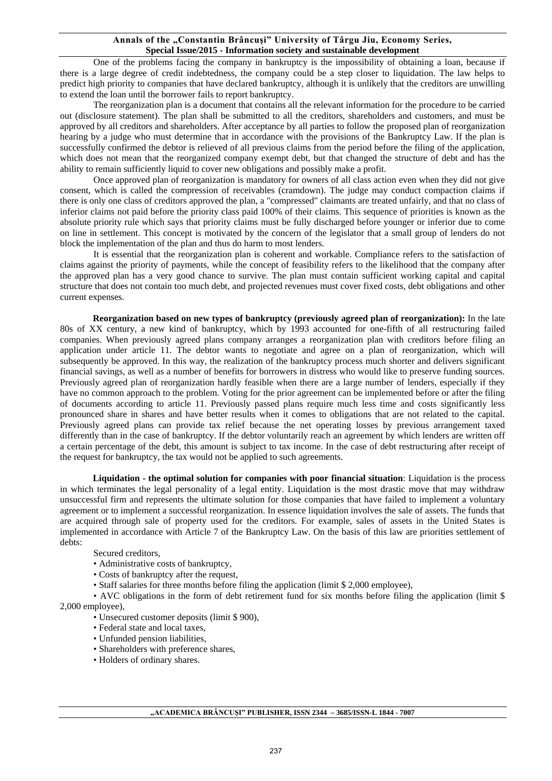One of the problems facing the company in bankruptcy is the impossibility of obtaining a loan, because if there is a large degree of credit indebtedness, the company could be a step closer to liquidation. The law helps to predict high priority to companies that have declared bankruptcy, although it is unlikely that the creditors are unwilling to extend the loan until the borrower fails to report bankruptcy.

The reorganization plan is a document that contains all the relevant information for the procedure to be carried out (disclosure statement). The plan shall be submitted to all the creditors, shareholders and customers, and must be approved by all creditors and shareholders. After acceptance by all parties to follow the proposed plan of reorganization hearing by a judge who must determine that in accordance with the provisions of the Bankruptcy Law. If the plan is successfully confirmed the debtor is relieved of all previous claims from the period before the filing of the application, which does not mean that the reorganized company exempt debt, but that changed the structure of debt and has the ability to remain sufficiently liquid to cover new obligations and possibly make a profit.

Once approved plan of reorganization is mandatory for owners of all class action even when they did not give consent, which is called the compression of receivables (cramdown). The judge may conduct compaction claims if there is only one class of creditors approved the plan, a "compressed" claimants are treated unfairly, and that no class of inferior claims not paid before the priority class paid 100% of their claims. This sequence of priorities is known as the absolute priority rule which says that priority claims must be fully discharged before younger or inferior due to come on line in settlement. This concept is motivated by the concern of the legislator that a small group of lenders do not block the implementation of the plan and thus do harm to most lenders.

It is essential that the reorganization plan is coherent and workable. Compliance refers to the satisfaction of claims against the priority of payments, while the concept of feasibility refers to the likelihood that the company after the approved plan has a very good chance to survive. The plan must contain sufficient working capital and capital structure that does not contain too much debt, and projected revenues must cover fixed costs, debt obligations and other current expenses.

**Reorganization based on new types of bankruptcy (previously agreed plan of reorganization):** In the late 80s of XX century, a new kind of bankruptcy, which by 1993 accounted for one-fifth of all restructuring failed companies. When previously agreed plans company arranges a reorganization plan with creditors before filing an application under article 11. The debtor wants to negotiate and agree on a plan of reorganization, which will subsequently be approved. In this way, the realization of the bankruptcy process much shorter and delivers significant financial savings, as well as a number of benefits for borrowers in distress who would like to preserve funding sources. Previously agreed plan of reorganization hardly feasible when there are a large number of lenders, especially if they have no common approach to the problem. Voting for the prior agreement can be implemented before or after the filing of documents according to article 11. Previously passed plans require much less time and costs significantly less pronounced share in shares and have better results when it comes to obligations that are not related to the capital. Previously agreed plans can provide tax relief because the net operating losses by previous arrangement taxed differently than in the case of bankruptcy. If the debtor voluntarily reach an agreement by which lenders are written off a certain percentage of the debt, this amount is subject to tax income. In the case of debt restructuring after receipt of the request for bankruptcy, the tax would not be applied to such agreements.

**Liquidation - the optimal solution for companies with poor financial situation**: Liquidation is the process in which terminates the legal personality of a legal entity. Liquidation is the most drastic move that may withdraw unsuccessful firm and represents the ultimate solution for those companies that have failed to implement a voluntary agreement or to implement a successful reorganization. In essence liquidation involves the sale of assets. The funds that are acquired through sale of property used for the creditors. For example, sales of assets in the United States is implemented in accordance with Article 7 of the Bankruptcy Law. On the basis of this law are priorities settlement of debts:

Secured creditors,

- Administrative costs of bankruptcy,
- Costs of bankruptcy after the request,
- Staff salaries for three months before filing the application (limit \$ 2,000 employee),

• AVC obligations in the form of debt retirement fund for six months before filing the application (limit \$ 2,000 employee),

- Unsecured customer deposits (limit \$ 900),
	- Federal state and local taxes,
	- Unfunded pension liabilities,
	- Shareholders with preference shares,
	- Holders of ordinary shares.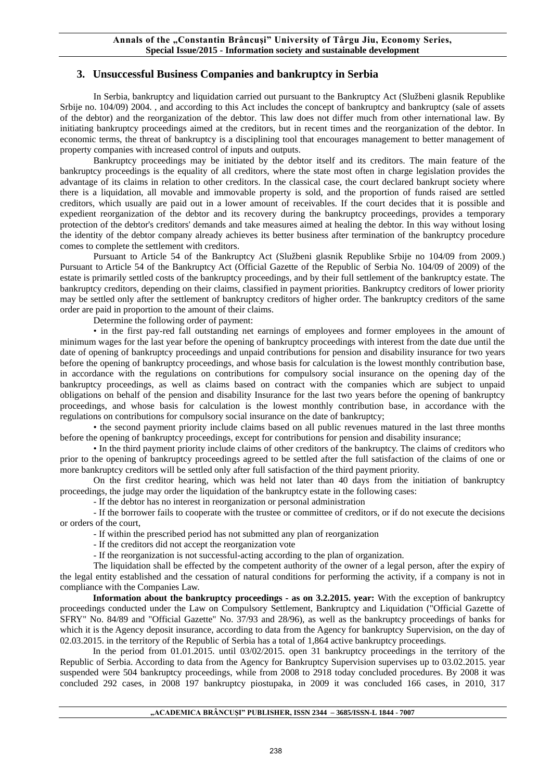# **3. Unsuccessful Business Companies and bankruptcy in Serbia**

In Serbia, bankruptcy and liquidation carried out pursuant to the Bankruptcy Act (Službeni glasnik Republike Srbije no. 104/09) 2004. , and according to this Act includes the concept of bankruptcy and bankruptcy (sale of assets of the debtor) and the reorganization of the debtor. This law does not differ much from other international law. By initiating bankruptcy proceedings aimed at the creditors, but in recent times and the reorganization of the debtor. In economic terms, the threat of bankruptcy is a disciplining tool that encourages management to better management of property companies with increased control of inputs and outputs.

Bankruptcy proceedings may be initiated by the debtor itself and its creditors. The main feature of the bankruptcy proceedings is the equality of all creditors, where the state most often in charge legislation provides the advantage of its claims in relation to other creditors. In the classical case, the court declared bankrupt society where there is a liquidation, all movable and immovable property is sold, and the proportion of funds raised are settled creditors, which usually are paid out in a lower amount of receivables. If the court decides that it is possible and expedient reorganization of the debtor and its recovery during the bankruptcy proceedings, provides a temporary protection of the debtor's creditors' demands and take measures aimed at healing the debtor. In this way without losing the identity of the debtor company already achieves its better business after termination of the bankruptcy procedure comes to complete the settlement with creditors.

Pursuant to Article 54 of the Bankruptcy Act (Službeni glasnik Republike Srbije no 104/09 from 2009.) Pursuant to Article 54 of the Bankruptcy Act (Official Gazette of the Republic of Serbia No. 104/09 of 2009) of the estate is primarily settled costs of the bankruptcy proceedings, and by their full settlement of the bankruptcy estate. The bankruptcy creditors, depending on their claims, classified in payment priorities. Bankruptcy creditors of lower priority may be settled only after the settlement of bankruptcy creditors of higher order. The bankruptcy creditors of the same order are paid in proportion to the amount of their claims.

Determine the following order of payment:

• in the first pay-red fall outstanding net earnings of employees and former employees in the amount of minimum wages for the last year before the opening of bankruptcy proceedings with interest from the date due until the date of opening of bankruptcy proceedings and unpaid contributions for pension and disability insurance for two years before the opening of bankruptcy proceedings, and whose basis for calculation is the lowest monthly contribution base, in accordance with the regulations on contributions for compulsory social insurance on the opening day of the bankruptcy proceedings, as well as claims based on contract with the companies which are subject to unpaid obligations on behalf of the pension and disability Insurance for the last two years before the opening of bankruptcy proceedings, and whose basis for calculation is the lowest monthly contribution base, in accordance with the regulations on contributions for compulsory social insurance on the date of bankruptcy;

• the second payment priority include claims based on all public revenues matured in the last three months before the opening of bankruptcy proceedings, except for contributions for pension and disability insurance;

• In the third payment priority include claims of other creditors of the bankruptcy. The claims of creditors who prior to the opening of bankruptcy proceedings agreed to be settled after the full satisfaction of the claims of one or more bankruptcy creditors will be settled only after full satisfaction of the third payment priority.

On the first creditor hearing, which was held not later than 40 days from the initiation of bankruptcy proceedings, the judge may order the liquidation of the bankruptcy estate in the following cases:

- If the debtor has no interest in reorganization or personal administration

- If the borrower fails to cooperate with the trustee or committee of creditors, or if do not execute the decisions or orders of the court,

- If within the prescribed period has not submitted any plan of reorganization

- If the creditors did not accept the reorganization vote

- If the reorganization is not successful-acting according to the plan of organization.

The liquidation shall be effected by the competent authority of the owner of a legal person, after the expiry of the legal entity established and the cessation of natural conditions for performing the activity, if a company is not in compliance with the Companies Law.

**Information about the bankruptcy proceedings - as on 3.2.2015. year:** With the exception of bankruptcy proceedings conducted under the Law on Compulsory Settlement, Bankruptcy and Liquidation ("Official Gazette of SFRY" No. 84/89 and "Official Gazette" No. 37/93 and 28/96), as well as the bankruptcy proceedings of banks for which it is the Agency deposit insurance, according to data from the Agency for bankruptcy Supervision, on the day of 02.03.2015. in the territory of the Republic of Serbia has a total of 1,864 active bankruptcy proceedings.

In the period from 01.01.2015. until 03/02/2015. open 31 bankruptcy proceedings in the territory of the Republic of Serbia. According to data from the Agency for Bankruptcy Supervision supervises up to 03.02.2015. year suspended were 504 bankruptcy proceedings, while from 2008 to 2918 today concluded procedures. By 2008 it was concluded 292 cases, in 2008 197 bankruptcy piostupaka, in 2009 it was concluded 166 cases, in 2010, 317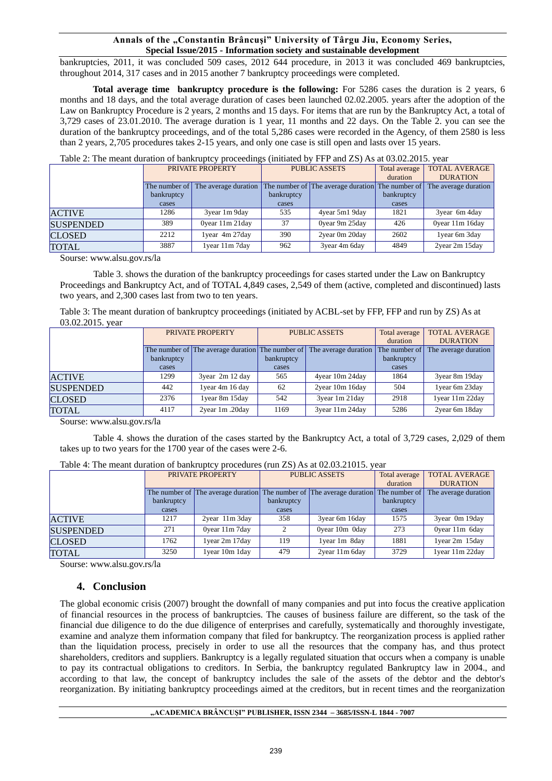bankruptcies, 2011, it was concluded 509 cases, 2012 644 procedure, in 2013 it was concluded 469 bankruptcies, throughout 2014, 317 cases and in 2015 another 7 bankruptcy proceedings were completed.

**Total average time bankruptcy procedure is the following:** For 5286 cases the duration is 2 years, 6 months and 18 days, and the total average duration of cases been launched 02.02.2005. years after the adoption of the Law on Bankruptcy Procedure is 2 years, 2 months and 15 days. For items that are run by the Bankruptcy Act, a total of 3,729 cases of 23.01.2010. The average duration is 1 year, 11 months and 22 days. On the Table 2. you can see the duration of the bankruptcy proceedings, and of the total 5,286 cases were recorded in the Agency, of them 2580 is less than 2 years, 2,705 procedures takes 2-15 years, and only one case is still open and lasts over 15 years.

| Table 2: The meant duration of bankruptcy proceedings (initiated by FFP and ZS) As at 03.02.2015. year |  |  |
|--------------------------------------------------------------------------------------------------------|--|--|
|                                                                                                        |  |  |

|                  | PRIVATE PROPERTY |                      | <b>PUBLIC ASSETS</b> |                                                  | Total average | <b>TOTAL AVERAGE</b> |
|------------------|------------------|----------------------|----------------------|--------------------------------------------------|---------------|----------------------|
|                  |                  |                      |                      |                                                  | duration      | <b>DURATION</b>      |
|                  | The number of    | The average duration |                      | The number of The average duration The number of |               | The average duration |
|                  | bankruptcy       |                      | bankruptcy           |                                                  | bankruptcy    |                      |
|                  | cases            |                      | cases                |                                                  | cases         |                      |
| <b>ACTIVE</b>    | 1286             | 3year 1m 9day        | 535                  | 4year 5m1 9day                                   | 1821          | 3year 6m 4day        |
| <b>SUSPENDED</b> | 389              | Oyear 11m 21day      | 37                   | Oyear 9m 25day                                   | 426           | Oyear 11m 16day      |
| <b>CLOSED</b>    | 2212             | 1year 4m 27day       | 390                  | 2year 0m 20day                                   | 2602          | 1year 6m 3day        |
| <b>TOTAL</b>     | 3887             | 1year 11m 7day       | 962                  | 3year 4m 6day                                    | 4849          | 2year 2m 15day       |

Sourse: www.alsu.gov.rs/la

Table 3. shows the duration of the bankruptcy proceedings for cases started under the Law on Bankruptcy Proceedings and Bankruptcy Act, and of TOTAL 4,849 cases, 2,549 of them (active, completed and discontinued) lasts two years, and 2,300 cases last from two to ten years.

Table 3: The meant duration of bankruptcy proceedings (initiated by ACBL-set by FFP, FFP and run by ZS) As at 03.02.2015. year

|                  | PRIVATE PROPERTY |                      | <b>PUBLIC ASSETS</b> |                                                                       | Total average | <b>TOTAL AVERAGE</b> |
|------------------|------------------|----------------------|----------------------|-----------------------------------------------------------------------|---------------|----------------------|
|                  |                  |                      |                      |                                                                       | duration      | <b>DURATION</b>      |
|                  |                  |                      |                      | The number of The average duration The number of The average duration | The number of | The average duration |
|                  | bankruptcy       |                      | bankruptcy           |                                                                       | bankruptcy    |                      |
|                  | cases            |                      | cases                |                                                                       | cases         |                      |
| <b>ACTIVE</b>    | 1299             | $3$ year $2m 12$ day | 565                  | 4year 10m 24day                                                       | 1864          | 3year 8m 19day       |
| <b>SUSPENDED</b> | 442              | 1year 4m 16 day      | 62                   | 2year 10m 16day                                                       | 504           | 1year 6m 23day       |
| <b>CLOSED</b>    | 2376             | 1year 8m 15day       | 542                  | 3year 1m 21day                                                        | 2918          | 1year 11m 22day      |
| <b>TOTAL</b>     | 4117             | 2year 1m .20day      | 1169                 | 3year 11m 24day                                                       | 5286          | 2year 6m 18day       |

Sourse: www.alsu.gov.rs/la

Table 4. shows the duration of the cases started by the Bankruptcy Act, a total of 3,729 cases, 2,029 of them takes up to two years for the 1700 year of the cases were 2-6.

|                  | PRIVATE PROPERTY |                                                                                     | <b>PUBLIC ASSETS</b> |                | Total average | <b>TOTAL AVERAGE</b> |
|------------------|------------------|-------------------------------------------------------------------------------------|----------------------|----------------|---------------|----------------------|
|                  |                  |                                                                                     |                      |                | duration      | <b>DURATION</b>      |
|                  |                  | The number of The average duration The number of The average duration The number of |                      |                |               | The average duration |
|                  | bankruptcy       |                                                                                     | bankruptcy           |                | bankruptcy    |                      |
|                  | cases            |                                                                                     | cases                |                | cases         |                      |
| <b>ACTIVE</b>    | 1217             | $2$ year $11m$ $3day$                                                               | 358                  | 3year 6m 16day | 1575          | 3year 0m 19day       |
| <b>SUSPENDED</b> | 271              | Oyear 11m 7day                                                                      | ↑                    | Oyear 10m Oday | 273           | Oyear 11m 6day       |
| <b>CLOSED</b>    | 1762             | 1year 2m 17day                                                                      | 119                  | 1year 1m 8day  | 1881          | 1year 2m 15day       |
| <b>TOTAL</b>     | 3250             | 1year 10m 1day                                                                      | 479                  | 2year 11m 6day | 3729          | 1year 11m 22day      |

Table 4: The meant duration of bankruptcy procedures (run ZS) As at 02.03.21015. year

Sourse: www.alsu.gov.rs/la

# **4. Conclusion**

The global economic crisis (2007) brought the downfall of many companies and put into focus the creative application of financial resources in the process of bankruptcies. The causes of business failure are different, so the task of the financial due diligence to do the due diligence of enterprises and carefully, systematically and thoroughly investigate, examine and analyze them information company that filed for bankruptcy. The reorganization process is applied rather than the liquidation process, precisely in order to use all the resources that the company has, and thus protect shareholders, creditors and suppliers. Bankruptcy is a legally regulated situation that occurs when a company is unable to pay its contractual obligations to creditors. In Serbia, the bankruptcy regulated Bankruptcy law in 2004., and according to that law, the concept of bankruptcy includes the sale of the assets of the debtor and the debtor's reorganization. By initiating bankruptcy proceedings aimed at the creditors, but in recent times and the reorganization